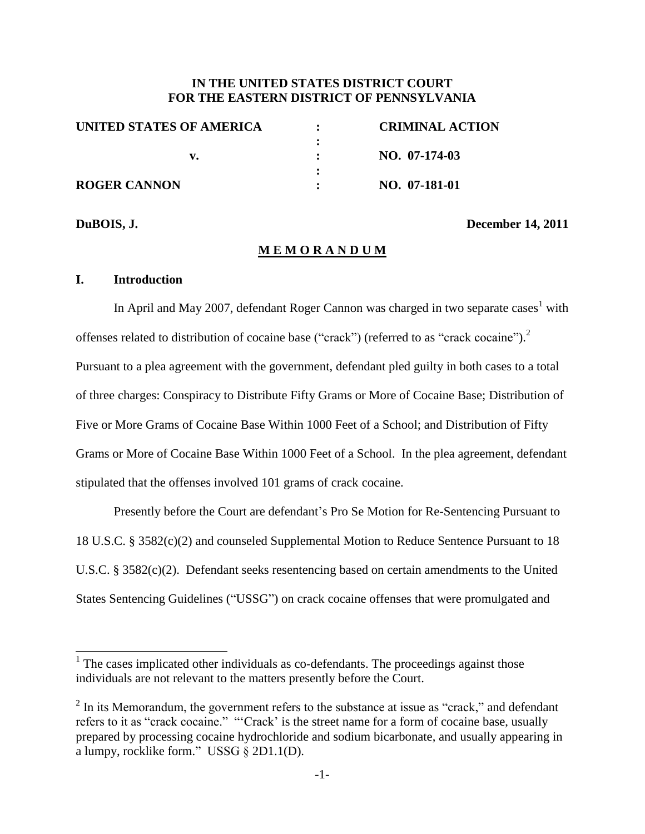# **IN THE UNITED STATES DISTRICT COURT FOR THE EASTERN DISTRICT OF PENNSYLVANIA**

| UNITED STATES OF AMERICA | <b>CRIMINAL ACTION</b> |
|--------------------------|------------------------|
|                          |                        |
|                          | NO. 07-174-03          |
|                          |                        |
| <b>ROGER CANNON</b>      | NO. 07-181-01          |
|                          |                        |

**DuBOIS, J. December 14, 2011**

## **M E M O R A N D U M**

## **I. Introduction**

In April and May 2007, defendant Roger Cannon was charged in two separate cases<sup>1</sup> with offenses related to distribution of cocaine base ("crack") (referred to as "crack cocaine").<sup>2</sup> Pursuant to a plea agreement with the government, defendant pled guilty in both cases to a total of three charges: Conspiracy to Distribute Fifty Grams or More of Cocaine Base; Distribution of Five or More Grams of Cocaine Base Within 1000 Feet of a School; and Distribution of Fifty Grams or More of Cocaine Base Within 1000 Feet of a School. In the plea agreement, defendant stipulated that the offenses involved 101 grams of crack cocaine.

Presently before the Court are defendant's Pro Se Motion for Re-Sentencing Pursuant to 18 U.S.C. § 3582(c)(2) and counseled Supplemental Motion to Reduce Sentence Pursuant to 18 U.S.C. § 3582(c)(2). Defendant seeks resentencing based on certain amendments to the United States Sentencing Guidelines ("USSG") on crack cocaine offenses that were promulgated and

<sup>&</sup>lt;sup>1</sup> The cases implicated other individuals as co-defendants. The proceedings against those individuals are not relevant to the matters presently before the Court.

 $2 \text{ In its Memorandum, the government refers to the substance at issue as "crack," and defendant.}$ refers to it as "crack cocaine." "Crack' is the street name for a form of cocaine base, usually prepared by processing cocaine hydrochloride and sodium bicarbonate, and usually appearing in a lumpy, rocklike form." USSG  $\S 2D1.1(D)$ .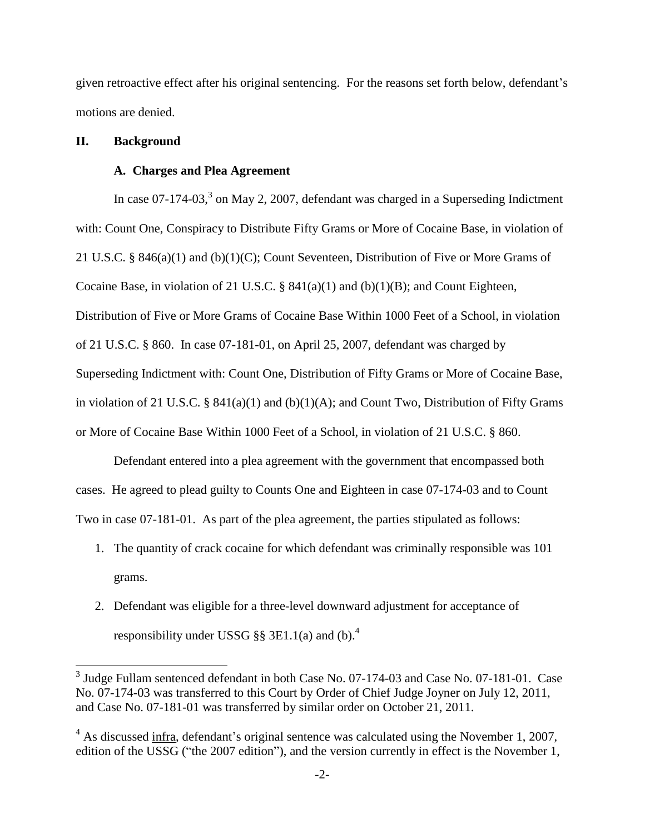given retroactive effect after his original sentencing. For the reasons set forth below, defendant's motions are denied.

# **II. Background**

l

## **A. Charges and Plea Agreement**

In case  $07-174-03$ ,<sup>3</sup> on May 2, 2007, defendant was charged in a Superseding Indictment with: Count One, Conspiracy to Distribute Fifty Grams or More of Cocaine Base, in violation of 21 U.S.C. § 846(a)(1) and (b)(1)(C); Count Seventeen, Distribution of Five or More Grams of Cocaine Base, in violation of 21 U.S.C. § 841(a)(1) and (b)(1)(B); and Count Eighteen, Distribution of Five or More Grams of Cocaine Base Within 1000 Feet of a School, in violation of 21 U.S.C. § 860. In case 07-181-01, on April 25, 2007, defendant was charged by Superseding Indictment with: Count One, Distribution of Fifty Grams or More of Cocaine Base, in violation of 21 U.S.C. §  $841(a)(1)$  and  $(b)(1)(A)$ ; and Count Two, Distribution of Fifty Grams or More of Cocaine Base Within 1000 Feet of a School, in violation of 21 U.S.C. § 860.

Defendant entered into a plea agreement with the government that encompassed both cases. He agreed to plead guilty to Counts One and Eighteen in case 07-174-03 and to Count Two in case 07-181-01. As part of the plea agreement, the parties stipulated as follows:

- 1. The quantity of crack cocaine for which defendant was criminally responsible was 101 grams.
- 2. Defendant was eligible for a three-level downward adjustment for acceptance of responsibility under USSG §§ 3E1.1(a) and (b).<sup>4</sup>

<sup>&</sup>lt;sup>3</sup> Judge Fullam sentenced defendant in both Case No. 07-174-03 and Case No. 07-181-01. Case No. 07-174-03 was transferred to this Court by Order of Chief Judge Joyner on July 12, 2011, and Case No. 07-181-01 was transferred by similar order on October 21, 2011.

<sup>&</sup>lt;sup>4</sup> As discussed infra, defendant's original sentence was calculated using the November 1, 2007, edition of the USSG ("the 2007 edition"), and the version currently in effect is the November 1,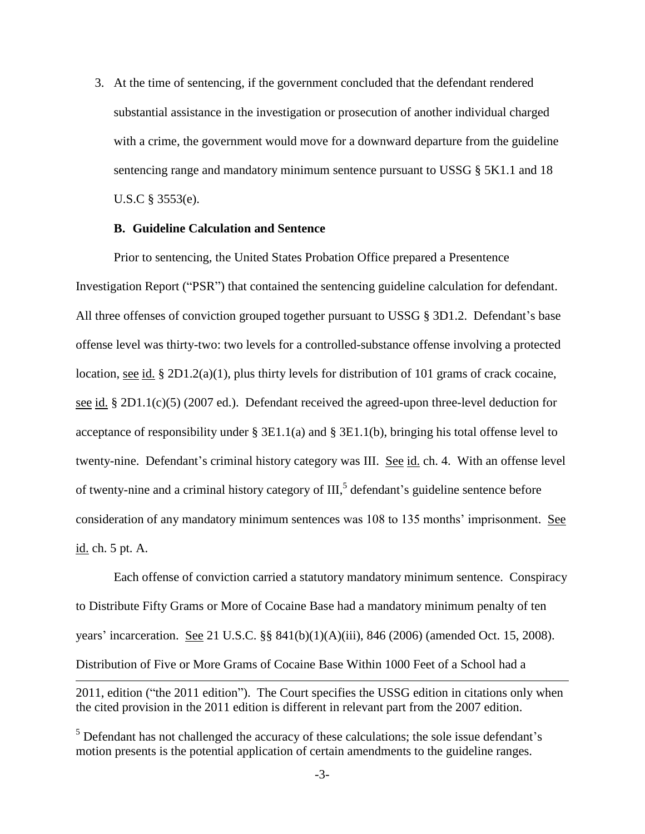3. At the time of sentencing, if the government concluded that the defendant rendered substantial assistance in the investigation or prosecution of another individual charged with a crime, the government would move for a downward departure from the guideline sentencing range and mandatory minimum sentence pursuant to USSG § 5K1.1 and 18 U.S.C § 3553(e).

## **B. Guideline Calculation and Sentence**

Prior to sentencing, the United States Probation Office prepared a Presentence Investigation Report ("PSR") that contained the sentencing guideline calculation for defendant. All three offenses of conviction grouped together pursuant to USSG § 3D1.2. Defendant's base offense level was thirty-two: two levels for a controlled-substance offense involving a protected location, see id. § 2D1.2(a)(1), plus thirty levels for distribution of 101 grams of crack cocaine, see id. § 2D1.1(c)(5) (2007 ed.). Defendant received the agreed-upon three-level deduction for acceptance of responsibility under § 3E1.1(a) and § 3E1.1(b), bringing his total offense level to twenty-nine. Defendant's criminal history category was III. See id. ch. 4. With an offense level of twenty-nine and a criminal history category of III, 5 defendant's guideline sentence before consideration of any mandatory minimum sentences was 108 to 135 months' imprisonment. See id. ch. 5 pt. A.

Each offense of conviction carried a statutory mandatory minimum sentence. Conspiracy to Distribute Fifty Grams or More of Cocaine Base had a mandatory minimum penalty of ten years' incarceration. See 21 U.S.C. §§ 841(b)(1)(A)(iii), 846 (2006) (amended Oct. 15, 2008). Distribution of Five or More Grams of Cocaine Base Within 1000 Feet of a School had a  $\overline{a}$ 

<sup>2011,</sup> edition ("the 2011 edition"). The Court specifies the USSG edition in citations only when the cited provision in the 2011 edition is different in relevant part from the 2007 edition.

<sup>&</sup>lt;sup>5</sup> Defendant has not challenged the accuracy of these calculations; the sole issue defendant's motion presents is the potential application of certain amendments to the guideline ranges.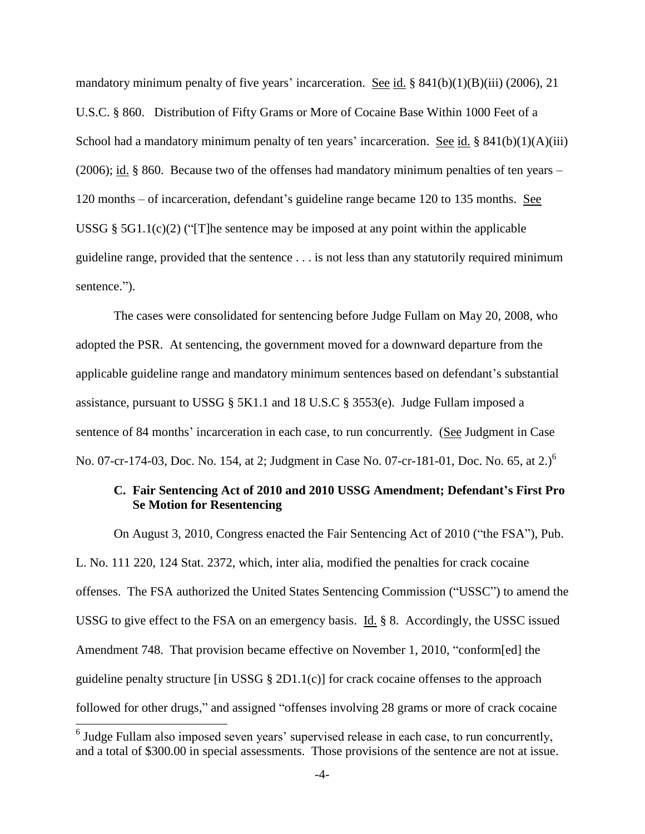mandatory minimum penalty of five years' incarceration. See id.  $§ 841(b)(1)(B)(iii) (2006), 21$ U.S.C. § 860. Distribution of Fifty Grams or More of Cocaine Base Within 1000 Feet of a School had a mandatory minimum penalty of ten years' incarceration. See id. §  $841(b)(1)(A)(iii)$ (2006); id. § 860. Because two of the offenses had mandatory minimum penalties of ten years – 120 months – of incarceration, defendant's guideline range became 120 to 135 months. See USSG §  $5G1.1(c)(2)$  ("[T]he sentence may be imposed at any point within the applicable guideline range, provided that the sentence . . . is not less than any statutorily required minimum sentence.").

The cases were consolidated for sentencing before Judge Fullam on May 20, 2008, who adopted the PSR. At sentencing, the government moved for a downward departure from the applicable guideline range and mandatory minimum sentences based on defendant's substantial assistance, pursuant to USSG § 5K1.1 and 18 U.S.C § 3553(e). Judge Fullam imposed a sentence of 84 months' incarceration in each case, to run concurrently. (See Judgment in Case No. 07-cr-174-03, Doc. No. 154, at 2; Judgment in Case No. 07-cr-181-01, Doc. No. 65, at 2.)<sup>6</sup>

# **C. Fair Sentencing Act of 2010 and 2010 USSG Amendment; Defendant's First Pro Se Motion for Resentencing**

On August 3, 2010, Congress enacted the Fair Sentencing Act of 2010 ("the FSA"), Pub. L. No. 111 220, 124 Stat. 2372, which, inter alia, modified the penalties for crack cocaine offenses. The FSA authorized the United States Sentencing Commission ("USSC") to amend the USSG to give effect to the FSA on an emergency basis. Id. § 8. Accordingly, the USSC issued Amendment 748. That provision became effective on November 1, 2010, "conform[ed] the guideline penalty structure [in USSG  $\S 2D1.1(c)$ ] for crack cocaine offenses to the approach followed for other drugs," and assigned "offenses involving 28 grams or more of crack cocaine

 $\overline{\phantom{a}}$ 

 $<sup>6</sup>$  Judge Fullam also imposed seven years' supervised release in each case, to run concurrently,</sup> and a total of \$300.00 in special assessments. Those provisions of the sentence are not at issue.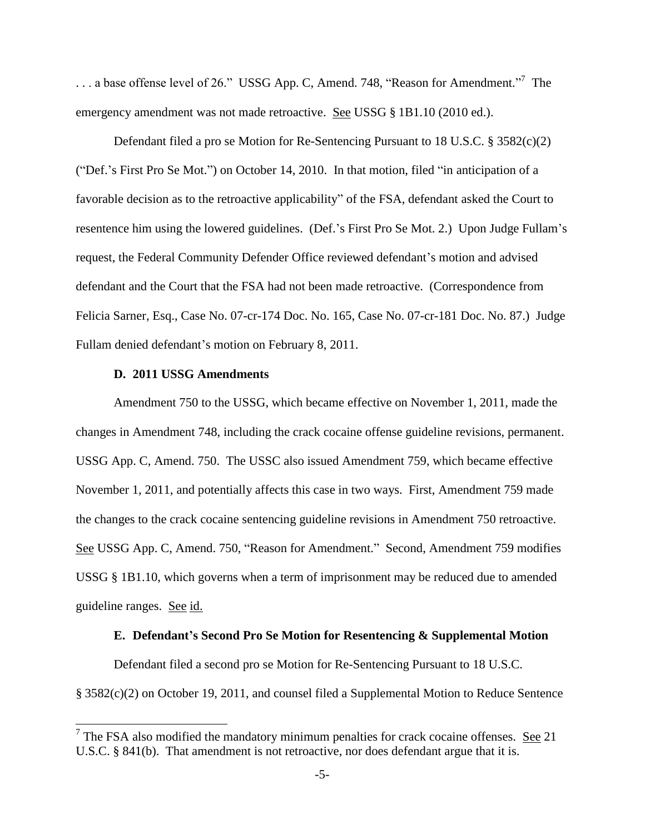... a base offense level of 26." USSG App. C, Amend. 748, "Reason for Amendment."<sup>7</sup> The emergency amendment was not made retroactive. See USSG § 1B1.10 (2010 ed.).

Defendant filed a pro se Motion for Re-Sentencing Pursuant to 18 U.S.C. § 3582(c)(2) ("Def.'s First Pro Se Mot.") on October 14, 2010. In that motion, filed "in anticipation of a favorable decision as to the retroactive applicability" of the FSA, defendant asked the Court to resentence him using the lowered guidelines. (Def.'s First Pro Se Mot. 2.) Upon Judge Fullam's request, the Federal Community Defender Office reviewed defendant's motion and advised defendant and the Court that the FSA had not been made retroactive. (Correspondence from Felicia Sarner, Esq., Case No. 07-cr-174 Doc. No. 165, Case No. 07-cr-181 Doc. No. 87.) Judge Fullam denied defendant's motion on February 8, 2011.

#### **D. 2011 USSG Amendments**

Amendment 750 to the USSG, which became effective on November 1, 2011, made the changes in Amendment 748, including the crack cocaine offense guideline revisions, permanent. USSG App. C, Amend. 750. The USSC also issued Amendment 759, which became effective November 1, 2011, and potentially affects this case in two ways. First, Amendment 759 made the changes to the crack cocaine sentencing guideline revisions in Amendment 750 retroactive. See USSG App. C, Amend. 750, "Reason for Amendment." Second, Amendment 759 modifies USSG § 1B1.10, which governs when a term of imprisonment may be reduced due to amended guideline ranges. See id.

### **E. Defendant's Second Pro Se Motion for Resentencing & Supplemental Motion**

Defendant filed a second pro se Motion for Re-Sentencing Pursuant to 18 U.S.C. § 3582(c)(2) on October 19, 2011, and counsel filed a Supplemental Motion to Reduce Sentence

 $\frac{7}{7}$  The FSA also modified the mandatory minimum penalties for crack cocaine offenses. See 21 U.S.C. § 841(b). That amendment is not retroactive, nor does defendant argue that it is.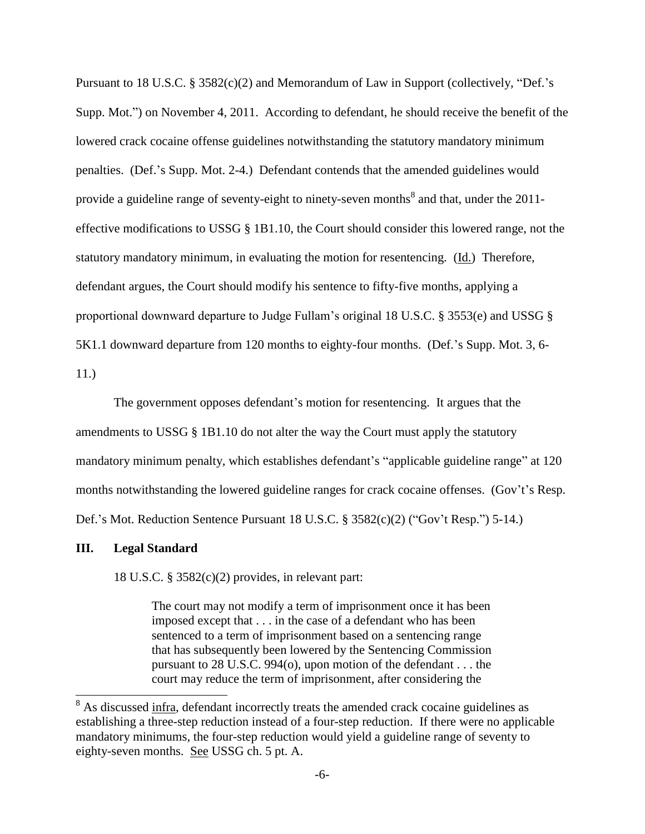Pursuant to 18 U.S.C.  $\S 3582(c)(2)$  and Memorandum of Law in Support (collectively, "Def.'s Supp. Mot.") on November 4, 2011. According to defendant, he should receive the benefit of the lowered crack cocaine offense guidelines notwithstanding the statutory mandatory minimum penalties. (Def.'s Supp. Mot. 2-4.) Defendant contends that the amended guidelines would provide a guideline range of seventy-eight to ninety-seven months<sup>8</sup> and that, under the 2011effective modifications to USSG § 1B1.10, the Court should consider this lowered range, not the statutory mandatory minimum, in evaluating the motion for resentencing. (Id.) Therefore, defendant argues, the Court should modify his sentence to fifty-five months, applying a proportional downward departure to Judge Fullam's original 18 U.S.C. § 3553(e) and USSG § 5K1.1 downward departure from 120 months to eighty-four months. (Def.'s Supp. Mot. 3, 6-

11.)

 $\overline{\phantom{a}}$ 

The government opposes defendant's motion for resentencing. It argues that the amendments to USSG § 1B1.10 do not alter the way the Court must apply the statutory mandatory minimum penalty, which establishes defendant's "applicable guideline range" at 120 months notwithstanding the lowered guideline ranges for crack cocaine offenses. (Gov't's Resp. Def.'s Mot. Reduction Sentence Pursuant  $18$  U.S.C.  $\S$  3582(c)(2) ("Gov't Resp.") 5-14.)

#### **III. Legal Standard**

18 U.S.C. § 3582(c)(2) provides, in relevant part:

The court may not modify a term of imprisonment once it has been imposed except that . . . in the case of a defendant who has been sentenced to a term of imprisonment based on a sentencing range that has subsequently been lowered by the Sentencing Commission pursuant to 28 U.S.C. 994(o), upon motion of the defendant . . . the court may reduce the term of imprisonment, after considering the

<sup>&</sup>lt;sup>8</sup> As discussed infra, defendant incorrectly treats the amended crack cocaine guidelines as establishing a three-step reduction instead of a four-step reduction. If there were no applicable mandatory minimums, the four-step reduction would yield a guideline range of seventy to eighty-seven months. See USSG ch. 5 pt. A.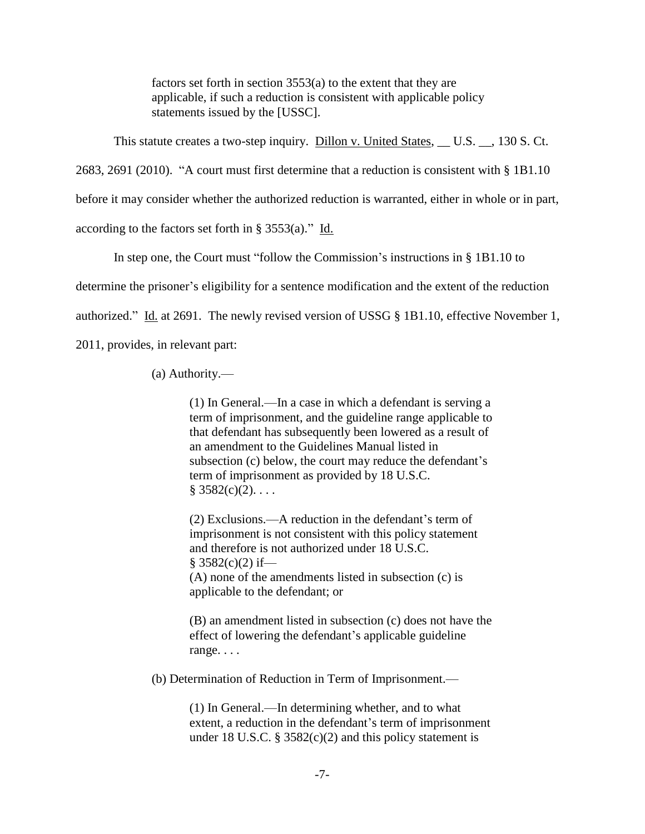factors set forth in section 3553(a) to the extent that they are applicable, if such a reduction is consistent with applicable policy statements issued by the [USSC].

This statute creates a two-step inquiry. Dillon v. United States, \_\_ U.S. \_\_, 130 S. Ct.

2683, 2691 (2010). "A court must first determine that a reduction is consistent with  $\S$  1B1.10

before it may consider whether the authorized reduction is warranted, either in whole or in part,

according to the factors set forth in  $\S$  3553(a)." Id.

In step one, the Court must "follow the Commission's instructions in  $\S$  1B1.10 to

determine the prisoner's eligibility for a sentence modification and the extent of the reduction

authorized." Id. at 2691. The newly revised version of USSG  $\S$  1B1.10, effective November 1,

2011, provides, in relevant part:

(a) Authority.—

(1) In General.—In a case in which a defendant is serving a term of imprisonment, and the guideline range applicable to that defendant has subsequently been lowered as a result of an amendment to the Guidelines Manual listed in subsection (c) below, the court may reduce the defendant's term of imprisonment as provided by 18 U.S.C.  $§ 3582(c)(2). \ldots$ 

(2) Exclusions.—A reduction in the defendant's term of imprisonment is not consistent with this policy statement and therefore is not authorized under 18 U.S.C.  $§$  3582(c)(2) if— (A) none of the amendments listed in subsection (c) is applicable to the defendant; or

(B) an amendment listed in subsection (c) does not have the effect of lowering the defendant's applicable guideline range. . . .

(b) Determination of Reduction in Term of Imprisonment.—

(1) In General.—In determining whether, and to what extent, a reduction in the defendant's term of imprisonment under 18 U.S.C. § 3582 $(c)(2)$  and this policy statement is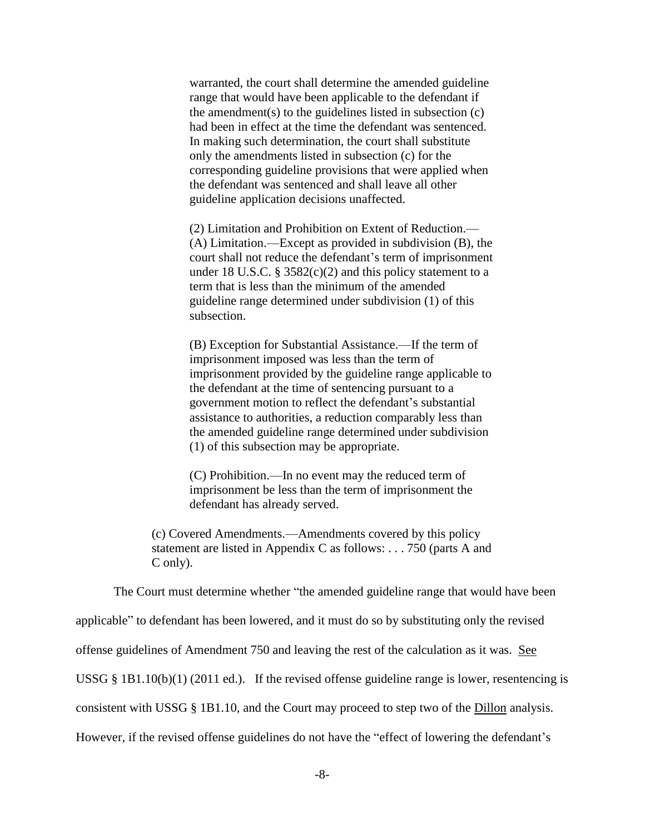warranted, the court shall determine the amended guideline range that would have been applicable to the defendant if the amendment(s) to the guidelines listed in subsection (c) had been in effect at the time the defendant was sentenced. In making such determination, the court shall substitute only the amendments listed in subsection (c) for the corresponding guideline provisions that were applied when the defendant was sentenced and shall leave all other guideline application decisions unaffected.

(2) Limitation and Prohibition on Extent of Reduction.— (A) Limitation.—Except as provided in subdivision (B), the court shall not reduce the defendant's term of imprisonment under 18 U.S.C.  $\S$  3582(c)(2) and this policy statement to a term that is less than the minimum of the amended guideline range determined under subdivision (1) of this subsection.

(B) Exception for Substantial Assistance.—If the term of imprisonment imposed was less than the term of imprisonment provided by the guideline range applicable to the defendant at the time of sentencing pursuant to a government motion to reflect the defendant's substantial assistance to authorities, a reduction comparably less than the amended guideline range determined under subdivision (1) of this subsection may be appropriate.

(C) Prohibition.—In no event may the reduced term of imprisonment be less than the term of imprisonment the defendant has already served.

(c) Covered Amendments.—Amendments covered by this policy statement are listed in Appendix C as follows: . . . 750 (parts A and C only).

The Court must determine whether "the amended guideline range that would have been

applicable" to defendant has been lowered, and it must do so by substituting only the revised

offense guidelines of Amendment 750 and leaving the rest of the calculation as it was. See

USSG § 1B1.10(b)(1) (2011 ed.). If the revised offense guideline range is lower, resentencing is

consistent with USSG § 1B1.10, and the Court may proceed to step two of the Dillon analysis.

However, if the revised offense guidelines do not have the "effect of lowering the defendant's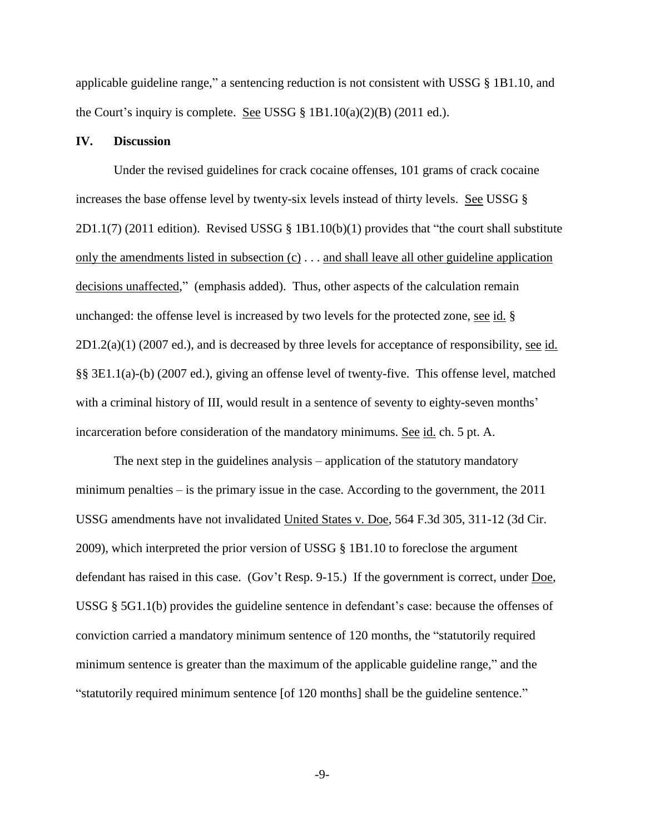applicable guideline range," a sentencing reduction is not consistent with USSG  $\S$  1B1.10, and the Court's inquiry is complete. See USSG  $\S$  1B1.10(a)(2)(B) (2011 ed.).

## **IV. Discussion**

Under the revised guidelines for crack cocaine offenses, 101 grams of crack cocaine increases the base offense level by twenty-six levels instead of thirty levels. See USSG §  $2D1.1(7)$  (2011 edition). Revised USSG § 1B1.10(b)(1) provides that "the court shall substitute only the amendments listed in subsection (c) . . . and shall leave all other guideline application decisions unaffected," (emphasis added). Thus, other aspects of the calculation remain unchanged: the offense level is increased by two levels for the protected zone, see id. §  $2D1.2(a)(1)$  (2007 ed.), and is decreased by three levels for acceptance of responsibility, see id. §§ 3E1.1(a)-(b) (2007 ed.), giving an offense level of twenty-five. This offense level, matched with a criminal history of III, would result in a sentence of seventy to eighty-seven months' incarceration before consideration of the mandatory minimums. See id. ch. 5 pt. A.

The next step in the guidelines analysis – application of the statutory mandatory minimum penalties – is the primary issue in the case. According to the government, the 2011 USSG amendments have not invalidated United States v. Doe, 564 F.3d 305, 311-12 (3d Cir. 2009), which interpreted the prior version of USSG § 1B1.10 to foreclose the argument defendant has raised in this case. (Gov't Resp. 9-15.) If the government is correct, under Doe, USSG § 5G1.1(b) provides the guideline sentence in defendant's case: because the offenses of conviction carried a mandatory minimum sentence of 120 months, the "statutorily required minimum sentence is greater than the maximum of the applicable guideline range," and the "statutorily required minimum sentence [of 120 months] shall be the guideline sentence."

-9-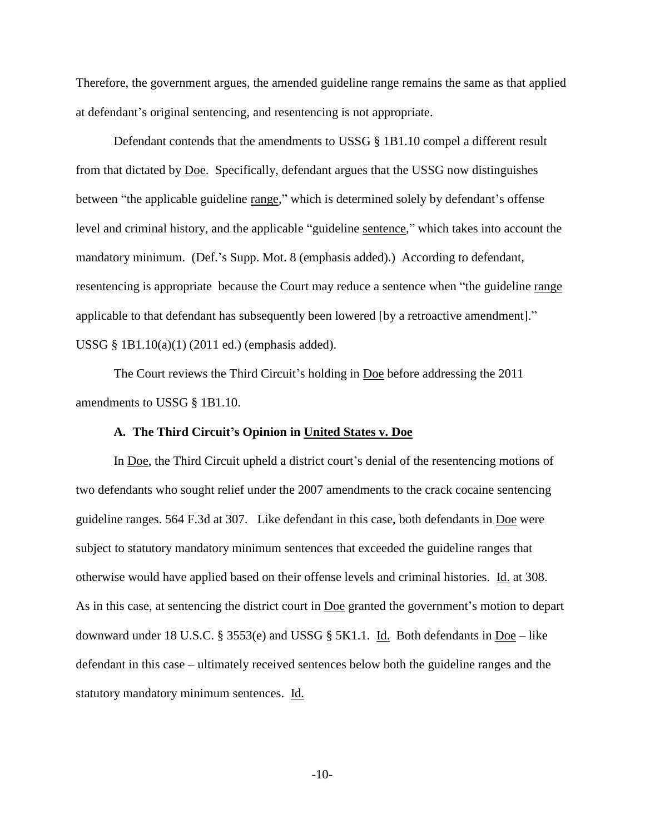Therefore, the government argues, the amended guideline range remains the same as that applied at defendant's original sentencing, and resentencing is not appropriate.

Defendant contends that the amendments to USSG § 1B1.10 compel a different result from that dictated by Doe. Specifically, defendant argues that the USSG now distinguishes between "the applicable guideline range," which is determined solely by defendant's offense level and criminal history, and the applicable "guideline sentence," which takes into account the mandatory minimum. (Def.'s Supp. Mot. 8 (emphasis added).) According to defendant, resentencing is appropriate because the Court may reduce a sentence when "the guideline range applicable to that defendant has subsequently been lowered [by a retroactive amendment]." USSG § 1B1.10(a)(1) (2011 ed.) (emphasis added).

The Court reviews the Third Circuit's holding in Doe before addressing the 2011 amendments to USSG § 1B1.10.

## **A. The Third Circuit's Opinion in United States v. Doe**

In Doe, the Third Circuit upheld a district court's denial of the resentencing motions of two defendants who sought relief under the 2007 amendments to the crack cocaine sentencing guideline ranges. 564 F.3d at 307. Like defendant in this case, both defendants in Doe were subject to statutory mandatory minimum sentences that exceeded the guideline ranges that otherwise would have applied based on their offense levels and criminal histories. Id. at 308. As in this case, at sentencing the district court in <u>Doe</u> granted the government's motion to depart downward under 18 U.S.C. § 3553(e) and USSG § 5K1.1. Id. Both defendants in  $\overline{Doe}$  – like defendant in this case – ultimately received sentences below both the guideline ranges and the statutory mandatory minimum sentences. Id.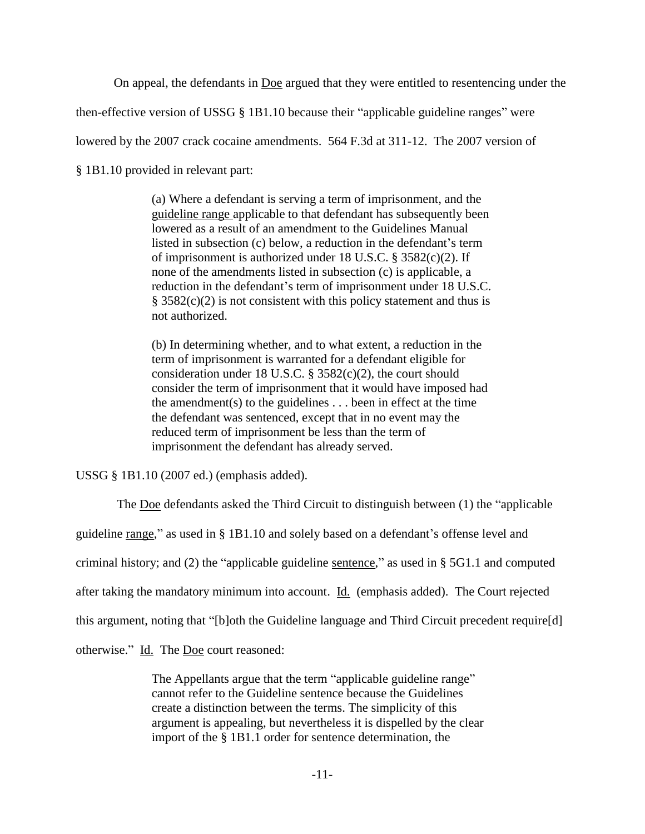On appeal, the defendants in Doe argued that they were entitled to resentencing under the

then-effective version of USSG  $\S$  1B1.10 because their "applicable guideline ranges" were

lowered by the 2007 crack cocaine amendments. 564 F.3d at 311-12. The 2007 version of

§ 1B1.10 provided in relevant part:

(a) Where a defendant is serving a term of imprisonment, and the guideline range applicable to that defendant has subsequently been lowered as a result of an amendment to the Guidelines Manual listed in subsection (c) below, a reduction in the defendant's term of imprisonment is authorized under 18 U.S.C. § 3582(c)(2). If none of the amendments listed in subsection (c) is applicable, a reduction in the defendant's term of imprisonment under 18 U.S.C.  $§ 3582(c)(2)$  is not consistent with this policy statement and thus is not authorized.

(b) In determining whether, and to what extent, a reduction in the term of imprisonment is warranted for a defendant eligible for consideration under 18 U.S.C. § 3582(c)(2), the court should consider the term of imprisonment that it would have imposed had the amendment(s) to the guidelines  $\ldots$  been in effect at the time the defendant was sentenced, except that in no event may the reduced term of imprisonment be less than the term of imprisonment the defendant has already served.

USSG § 1B1.10 (2007 ed.) (emphasis added).

The Doe defendants asked the Third Circuit to distinguish between  $(1)$  the "applicable"

guideline range,‖ as used in § 1B1.10 and solely based on a defendant's offense level and

criminal history; and (2) the "applicable guideline sentence," as used in  $\S$  5G1.1 and computed

after taking the mandatory minimum into account. Id. (emphasis added). The Court rejected

this argument, noting that "[b]oth the Guideline language and Third Circuit precedent require[d]

otherwise." Id. The Doe court reasoned:

The Appellants argue that the term "applicable guideline range" cannot refer to the Guideline sentence because the Guidelines create a distinction between the terms. The simplicity of this argument is appealing, but nevertheless it is dispelled by the clear import of the § 1B1.1 order for sentence determination, the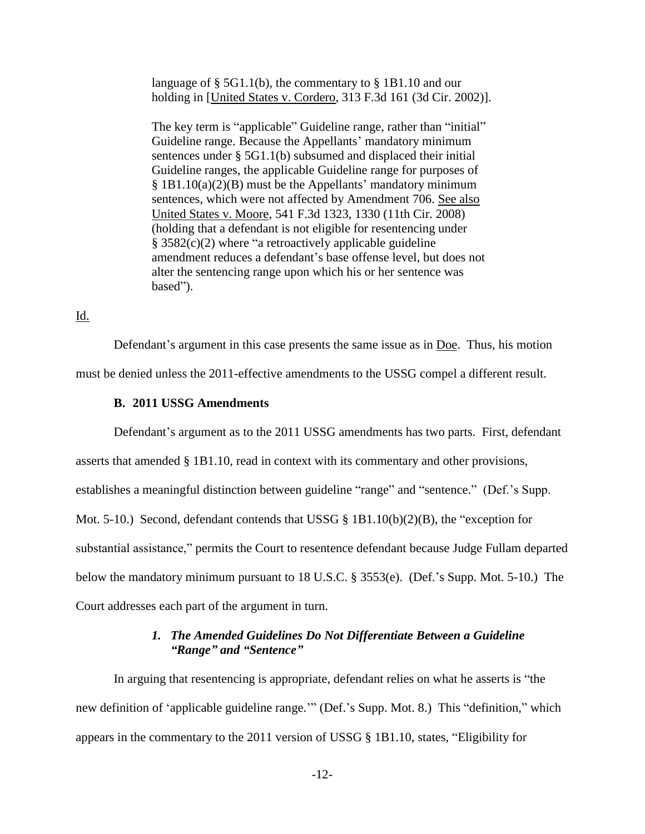language of § 5G1.1(b), the commentary to § 1B1.10 and our holding in [United States v. Cordero, 313 F.3d 161 (3d Cir. 2002)].

The key term is "applicable" Guideline range, rather than "initial" Guideline range. Because the Appellants' mandatory minimum sentences under § 5G1.1(b) subsumed and displaced their initial Guideline ranges, the applicable Guideline range for purposes of § 1B1.10(a)(2)(B) must be the Appellants' mandatory minimum sentences, which were not affected by Amendment 706. See also United States v. Moore, 541 F.3d 1323, 1330 (11th Cir. 2008) (holding that a defendant is not eligible for resentencing under  $§ 3582(c)(2)$  where "a retroactively applicable guideline amendment reduces a defendant's base offense level, but does not alter the sentencing range upon which his or her sentence was based").

Id.

Defendant's argument in this case presents the same issue as in <u>Doe</u>. Thus, his motion must be denied unless the 2011-effective amendments to the USSG compel a different result.

## **B. 2011 USSG Amendments**

Defendant's argument as to the 2011 USSG amendments has two parts. First, defendant

asserts that amended § 1B1.10, read in context with its commentary and other provisions,

establishes a meaningful distinction between guideline "range" and "sentence." (Def.'s Supp.

Mot. 5-10.) Second, defendant contends that USSG  $\S$  1B1.10(b)(2)(B), the "exception for

substantial assistance," permits the Court to resentence defendant because Judge Fullam departed

below the mandatory minimum pursuant to 18 U.S.C. § 3553(e). (Def.'s Supp. Mot. 5-10.) The

Court addresses each part of the argument in turn.

## *1. The Amended Guidelines Do Not Differentiate Between a Guideline "Range" and "Sentence"*

In arguing that resentencing is appropriate, defendant relies on what he asserts is "the new definition of 'applicable guideline range.'" (Def.'s Supp. Mot. 8.) This "definition," which appears in the commentary to the 2011 version of USSG  $\S$  1B1.10, states, "Eligibility for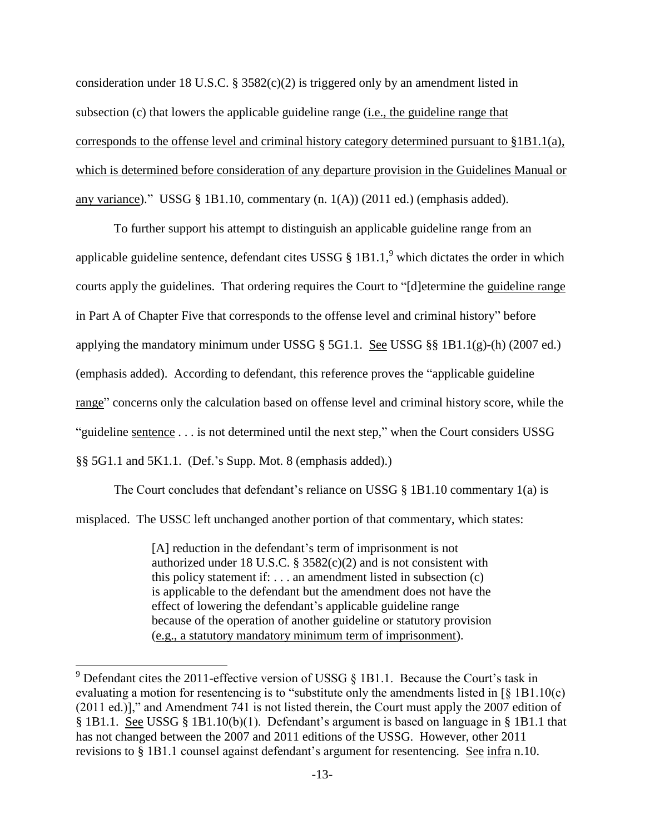consideration under 18 U.S.C.  $\S$  3582(c)(2) is triggered only by an amendment listed in subsection (c) that lowers the applicable guideline range (i.e., the guideline range that corresponds to the offense level and criminal history category determined pursuant to §1B1.1(a), which is determined before consideration of any departure provision in the Guidelines Manual or any variance)." USSG § 1B1.10, commentary  $(n. 1(A))$  (2011 ed.) (emphasis added).

To further support his attempt to distinguish an applicable guideline range from an applicable guideline sentence, defendant cites USSG  $\S$  1B1.1,<sup>9</sup> which dictates the order in which courts apply the guidelines. That ordering requires the Court to "[d]etermine the guideline range in Part A of Chapter Five that corresponds to the offense level and criminal history" before applying the mandatory minimum under USSG  $\S$  5G1.1. See USSG  $\S$ § 1B1.1(g)-(h) (2007 ed.) (emphasis added). According to defendant, this reference proves the "applicable guideline" range" concerns only the calculation based on offense level and criminal history score, while the "guideline sentence  $\dots$  is not determined until the next step," when the Court considers USSG §§ 5G1.1 and 5K1.1. (Def.'s Supp. Mot. 8 (emphasis added).)

The Court concludes that defendant's reliance on USSG § 1B1.10 commentary 1(a) is misplaced. The USSC left unchanged another portion of that commentary, which states:

> [A] reduction in the defendant's term of imprisonment is not authorized under 18 U.S.C. § 3582(c)(2) and is not consistent with this policy statement if:  $\dots$  an amendment listed in subsection (c) is applicable to the defendant but the amendment does not have the effect of lowering the defendant's applicable guideline range because of the operation of another guideline or statutory provision (e.g., a statutory mandatory minimum term of imprisonment).

l

<sup>&</sup>lt;sup>9</sup> Defendant cites the 2011-effective version of USSG  $\S$  1B1.1. Because the Court's task in evaluating a motion for resentencing is to "substitute only the amendments listed in  $\lceil \S 1B1.10(c) \rceil$  $(2011 \text{ ed.})$ ]," and Amendment 741 is not listed therein, the Court must apply the 2007 edition of § 1B1.1. See USSG § 1B1.10(b)(1). Defendant's argument is based on language in § 1B1.1 that has not changed between the 2007 and 2011 editions of the USSG. However, other 2011 revisions to § 1B1.1 counsel against defendant's argument for resentencing. See infra n.10.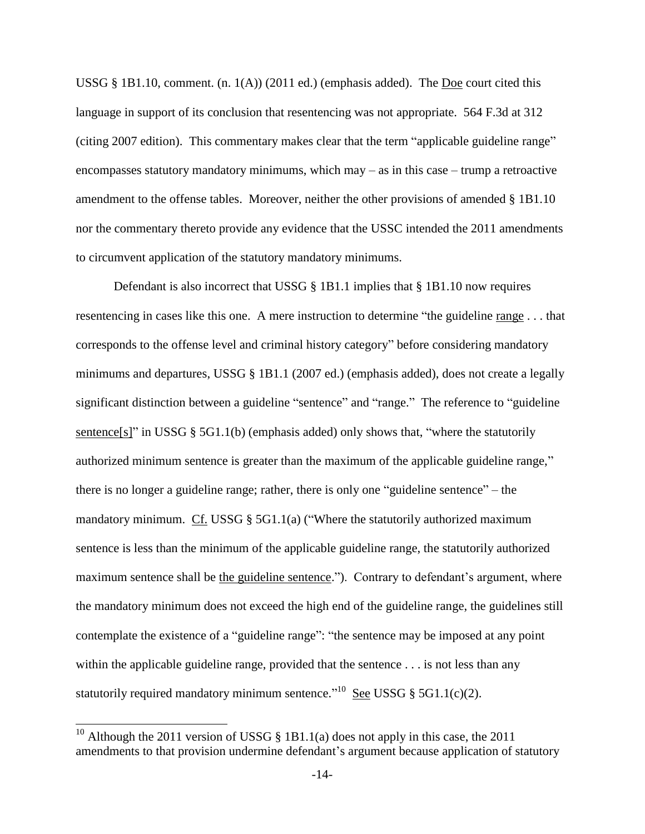USSG  $\S$  1B1.10, comment. (n. 1(A)) (2011 ed.) (emphasis added). The Doe court cited this language in support of its conclusion that resentencing was not appropriate. 564 F.3d at 312 (citing 2007 edition). This commentary makes clear that the term "applicable guideline range" encompasses statutory mandatory minimums, which may – as in this case – trump a retroactive amendment to the offense tables. Moreover, neither the other provisions of amended § 1B1.10 nor the commentary thereto provide any evidence that the USSC intended the 2011 amendments to circumvent application of the statutory mandatory minimums.

Defendant is also incorrect that USSG  $\S$  1B1.1 implies that  $\S$  1B1.10 now requires resentencing in cases like this one. A mere instruction to determine "the guideline range . . . that corresponds to the offense level and criminal history category" before considering mandatory minimums and departures, USSG § 1B1.1 (2007 ed.) (emphasis added), does not create a legally significant distinction between a guideline "sentence" and "range." The reference to "guideline sentence[s]" in USSG  $\S$  5G1.1(b) (emphasis added) only shows that, "where the statutorily authorized minimum sentence is greater than the maximum of the applicable guideline range," there is no longer a guideline range; rather, there is only one "guideline sentence" – the mandatory minimum. Cf. USSG  $\S$  5G1.1(a) ("Where the statutorily authorized maximum sentence is less than the minimum of the applicable guideline range, the statutorily authorized maximum sentence shall be the guideline sentence."). Contrary to defendant's argument, where the mandatory minimum does not exceed the high end of the guideline range, the guidelines still contemplate the existence of a "guideline range": "the sentence may be imposed at any point within the applicable guideline range, provided that the sentence . . . is not less than any statutorily required mandatory minimum sentence.<sup> $10$ </sup> See USSG § 5G1.1(c)(2).

 $\overline{\phantom{a}}$ 

<sup>&</sup>lt;sup>10</sup> Although the 2011 version of USSG  $\S$  1B1.1(a) does not apply in this case, the 2011 amendments to that provision undermine defendant's argument because application of statutory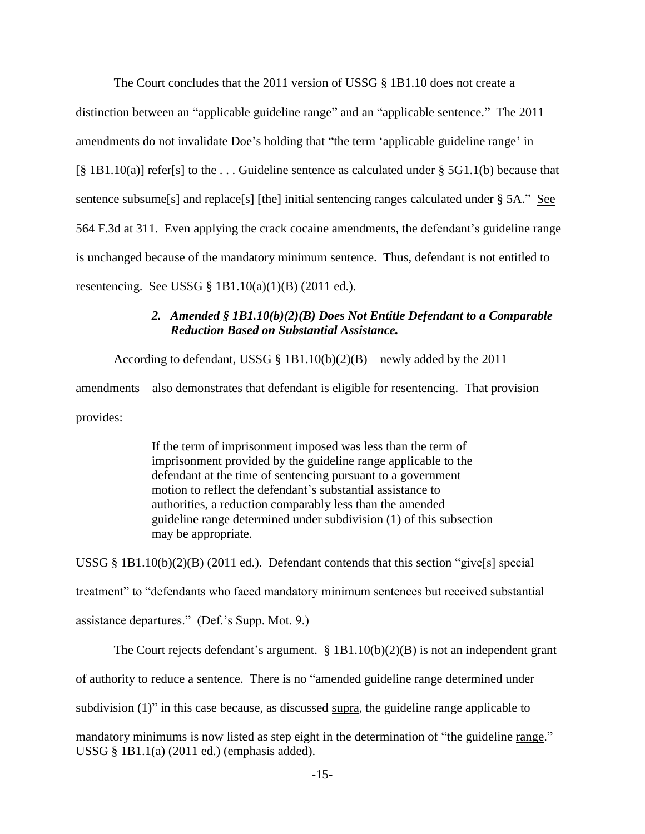The Court concludes that the 2011 version of USSG  $\S$  1B1.10 does not create a distinction between an "applicable guideline range" and an "applicable sentence." The 2011 amendments do not invalidate Doe's holding that "the term 'applicable guideline range' in  $[\S 1B1.10(a)]$  refer[s] to the ... Guideline sentence as calculated under  $\S 5G1.1(b)$  because that sentence subsume[s] and replace[s] [the] initial sentencing ranges calculated under  $\S$  5A." See 564 F.3d at 311. Even applying the crack cocaine amendments, the defendant's guideline range is unchanged because of the mandatory minimum sentence. Thus, defendant is not entitled to resentencing. <u>See</u> USSG  $\S$  1B1.10(a)(1)(B) (2011 ed.).

# *2. Amended § 1B1.10(b)(2)(B) Does Not Entitle Defendant to a Comparable Reduction Based on Substantial Assistance.*

According to defendant, USSG § 1B1.10(b)(2)(B) – newly added by the 2011 amendments – also demonstrates that defendant is eligible for resentencing. That provision provides:

> If the term of imprisonment imposed was less than the term of imprisonment provided by the guideline range applicable to the defendant at the time of sentencing pursuant to a government motion to reflect the defendant's substantial assistance to authorities, a reduction comparably less than the amended guideline range determined under subdivision (1) of this subsection may be appropriate.

USSG § 1B1.10(b)(2)(B) (2011 ed.). Defendant contends that this section "give[s] special treatment" to "defendants who faced mandatory minimum sentences but received substantial assistance departures.‖ (Def.'s Supp. Mot. 9.)

The Court rejects defendant's argument. § 1B1.10(b)(2)(B) is not an independent grant of authority to reduce a sentence. There is no "amended guideline range determined under subdivision  $(1)$ " in this case because, as discussed supra, the guideline range applicable to

 $\overline{\phantom{a}}$ 

mandatory minimums is now listed as step eight in the determination of "the guideline range." USSG § 1B1.1(a) (2011 ed.) (emphasis added).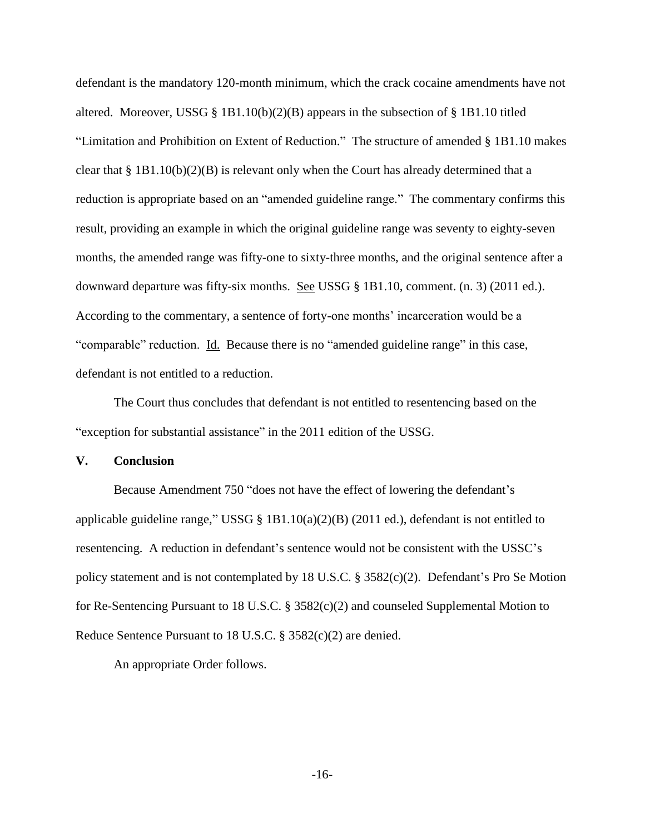defendant is the mandatory 120-month minimum, which the crack cocaine amendments have not altered. Moreover, USSG § 1B1.10(b)(2)(B) appears in the subsection of § 1B1.10 titled "Limitation and Prohibition on Extent of Reduction." The structure of amended § 1B1.10 makes clear that  $\S 1B1.10(b)(2)(B)$  is relevant only when the Court has already determined that a reduction is appropriate based on an "amended guideline range." The commentary confirms this result, providing an example in which the original guideline range was seventy to eighty-seven months, the amended range was fifty-one to sixty-three months, and the original sentence after a downward departure was fifty-six months. See USSG § 1B1.10, comment. (n. 3) (2011 ed.). According to the commentary, a sentence of forty-one months' incarceration would be a "comparable" reduction. Id. Because there is no "amended guideline range" in this case, defendant is not entitled to a reduction.

The Court thus concludes that defendant is not entitled to resentencing based on the "exception for substantial assistance" in the 2011 edition of the USSG.

## **V. Conclusion**

Because Amendment 750 "does not have the effect of lowering the defendant's applicable guideline range," USSG § 1B1.10(a)(2)(B) (2011 ed.), defendant is not entitled to resentencing. A reduction in defendant's sentence would not be consistent with the USSC's policy statement and is not contemplated by 18 U.S.C. § 3582(c)(2). Defendant's Pro Se Motion for Re-Sentencing Pursuant to 18 U.S.C. § 3582(c)(2) and counseled Supplemental Motion to Reduce Sentence Pursuant to 18 U.S.C. § 3582(c)(2) are denied.

An appropriate Order follows.